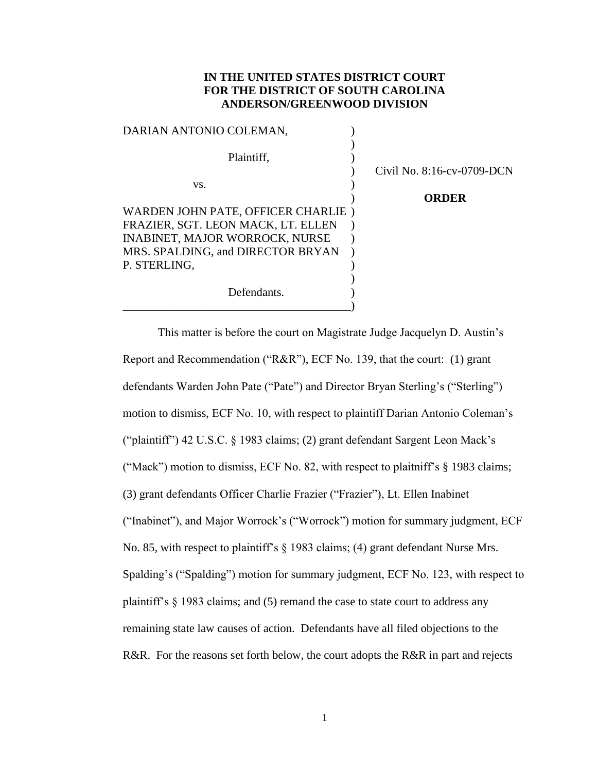## **IN THE UNITED STATES DISTRICT COURT FOR THE DISTRICT OF SOUTH CAROLINA ANDERSON/GREENWOOD DIVISION**

| DARIAN ANTONIO COLEMAN,               |                            |
|---------------------------------------|----------------------------|
| Plaintiff.                            |                            |
|                                       | Civil No. 8:16-cv-0709-DCN |
| VS.                                   |                            |
|                                       | <b>ORDER</b>               |
| WARDEN JOHN PATE, OFFICER CHARLIE)    |                            |
| FRAZIER, SGT. LEON MACK, LT. ELLEN    |                            |
| <b>INABINET, MAJOR WORROCK, NURSE</b> |                            |
| MRS. SPALDING, and DIRECTOR BRYAN     |                            |
| P. STERLING,                          |                            |
|                                       |                            |
| Defendants.                           |                            |
|                                       |                            |

This matter is before the court on Magistrate Judge Jacquelyn D. Austin's Report and Recommendation ("R&R"), ECF No. 139, that the court: (1) grant defendants Warden John Pate ("Pate") and Director Bryan Sterling's ("Sterling") motion to dismiss, ECF No. 10, with respect to plaintiff Darian Antonio Coleman's ("plaintiff") 42 U.S.C. § 1983 claims; (2) grant defendant Sargent Leon Mack's ("Mack") motion to dismiss, ECF No. 82, with respect to plaitniff's § 1983 claims; (3) grant defendants Officer Charlie Frazier ("Frazier"), Lt. Ellen Inabinet ("Inabinet"), and Major Worrock's ("Worrock") motion for summary judgment, ECF No. 85, with respect to plaintiff's § 1983 claims; (4) grant defendant Nurse Mrs. Spalding's ("Spalding") motion for summary judgment, ECF No. 123, with respect to plaintiff's § 1983 claims; and (5) remand the case to state court to address any remaining state law causes of action. Defendants have all filed objections to the R&R. For the reasons set forth below, the court adopts the R&R in part and rejects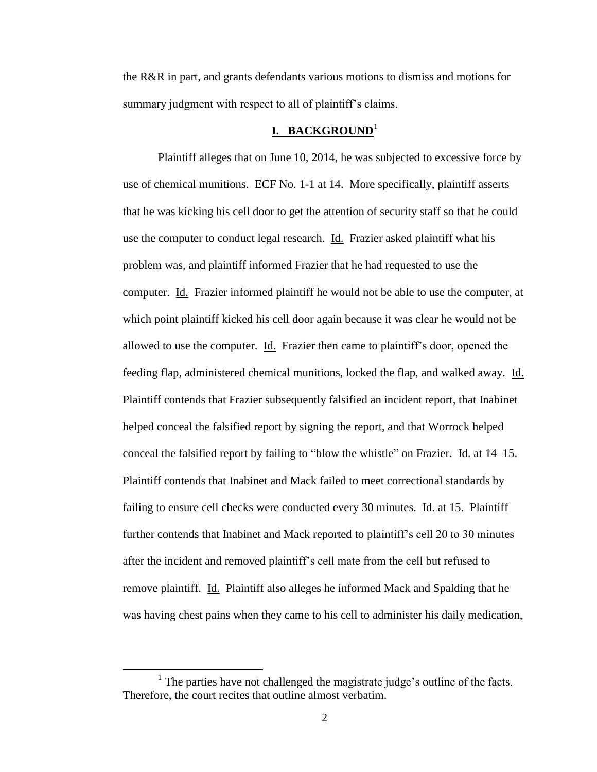the R&R in part, and grants defendants various motions to dismiss and motions for summary judgment with respect to all of plaintiff's claims.

## **I. BACKGROUND**<sup>1</sup>

Plaintiff alleges that on June 10, 2014, he was subjected to excessive force by use of chemical munitions. ECF No. 1-1 at 14. More specifically, plaintiff asserts that he was kicking his cell door to get the attention of security staff so that he could use the computer to conduct legal research. Id. Frazier asked plaintiff what his problem was, and plaintiff informed Frazier that he had requested to use the computer. Id. Frazier informed plaintiff he would not be able to use the computer, at which point plaintiff kicked his cell door again because it was clear he would not be allowed to use the computer. Id. Frazier then came to plaintiff's door, opened the feeding flap, administered chemical munitions, locked the flap, and walked away. Id. Plaintiff contends that Frazier subsequently falsified an incident report, that Inabinet helped conceal the falsified report by signing the report, and that Worrock helped conceal the falsified report by failing to "blow the whistle" on Frazier. Id. at 14–15. Plaintiff contends that Inabinet and Mack failed to meet correctional standards by failing to ensure cell checks were conducted every 30 minutes. Id. at 15. Plaintiff further contends that Inabinet and Mack reported to plaintiff's cell 20 to 30 minutes after the incident and removed plaintiff's cell mate from the cell but refused to remove plaintiff. Id. Plaintiff also alleges he informed Mack and Spalding that he was having chest pains when they came to his cell to administer his daily medication,

 $\overline{\phantom{a}}$ 

<sup>&</sup>lt;sup>1</sup> The parties have not challenged the magistrate judge's outline of the facts. Therefore, the court recites that outline almost verbatim.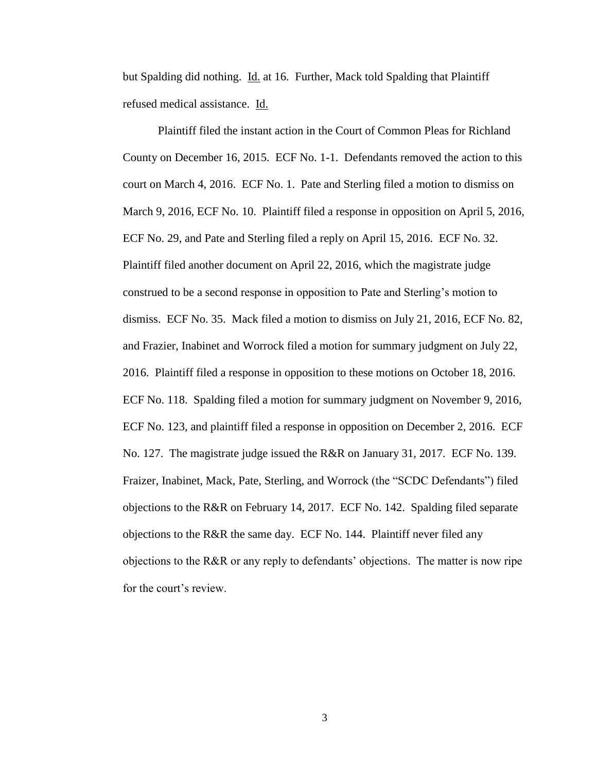but Spalding did nothing. Id. at 16. Further, Mack told Spalding that Plaintiff refused medical assistance. Id.

Plaintiff filed the instant action in the Court of Common Pleas for Richland County on December 16, 2015. ECF No. 1-1. Defendants removed the action to this court on March 4, 2016. ECF No. 1. Pate and Sterling filed a motion to dismiss on March 9, 2016, ECF No. 10. Plaintiff filed a response in opposition on April 5, 2016, ECF No. 29, and Pate and Sterling filed a reply on April 15, 2016. ECF No. 32. Plaintiff filed another document on April 22, 2016, which the magistrate judge construed to be a second response in opposition to Pate and Sterling's motion to dismiss. ECF No. 35. Mack filed a motion to dismiss on July 21, 2016, ECF No. 82, and Frazier, Inabinet and Worrock filed a motion for summary judgment on July 22, 2016. Plaintiff filed a response in opposition to these motions on October 18, 2016. ECF No. 118. Spalding filed a motion for summary judgment on November 9, 2016, ECF No. 123, and plaintiff filed a response in opposition on December 2, 2016. ECF No. 127. The magistrate judge issued the R&R on January 31, 2017. ECF No. 139. Fraizer, Inabinet, Mack, Pate, Sterling, and Worrock (the "SCDC Defendants") filed objections to the R&R on February 14, 2017. ECF No. 142. Spalding filed separate objections to the R&R the same day. ECF No. 144. Plaintiff never filed any objections to the R&R or any reply to defendants' objections. The matter is now ripe for the court's review.

3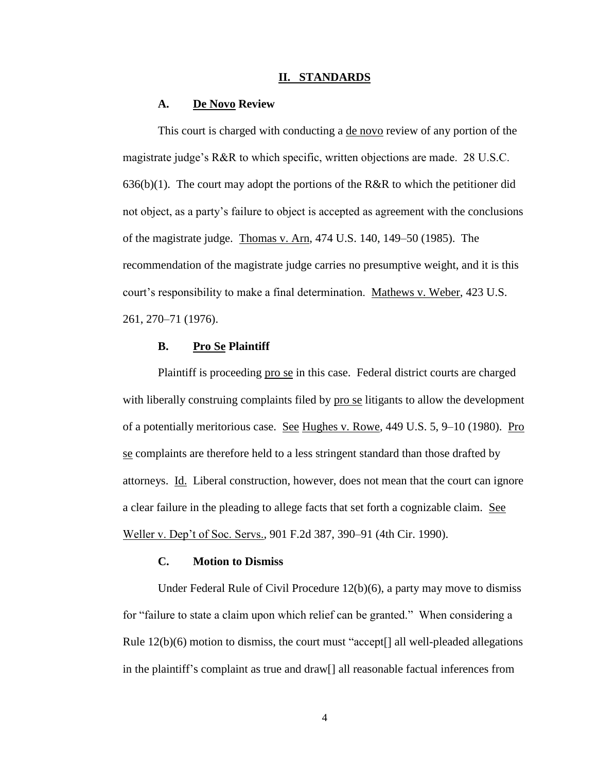#### **II. STANDARDS**

#### **A. De Novo Review**

This court is charged with conducting a de novo review of any portion of the magistrate judge's R&R to which specific, written objections are made. 28 U.S.C.  $636(b)(1)$ . The court may adopt the portions of the R&R to which the petitioner did not object, as a party's failure to object is accepted as agreement with the conclusions of the magistrate judge. Thomas v. Arn, 474 U.S. 140, 149–50 (1985). The recommendation of the magistrate judge carries no presumptive weight, and it is this court's responsibility to make a final determination. Mathews v. Weber, 423 U.S. 261, 270–71 (1976).

#### **B. Pro Se Plaintiff**

Plaintiff is proceeding pro se in this case. Federal district courts are charged with liberally construing complaints filed by pro se litigants to allow the development of a potentially meritorious case. See Hughes v. Rowe, 449 U.S. 5, 9–10 (1980). Pro se complaints are therefore held to a less stringent standard than those drafted by attorneys. Id. Liberal construction, however, does not mean that the court can ignore a clear failure in the pleading to allege facts that set forth a cognizable claim. See Weller v. Dep't of Soc. Servs., 901 F.2d 387, 390–91 (4th Cir. 1990).

#### **C. Motion to Dismiss**

Under Federal Rule of Civil Procedure 12(b)(6), a party may move to dismiss for "failure to state a claim upon which relief can be granted." When considering a Rule  $12(b)(6)$  motion to dismiss, the court must "accept[] all well-pleaded allegations in the plaintiff's complaint as true and draw[] all reasonable factual inferences from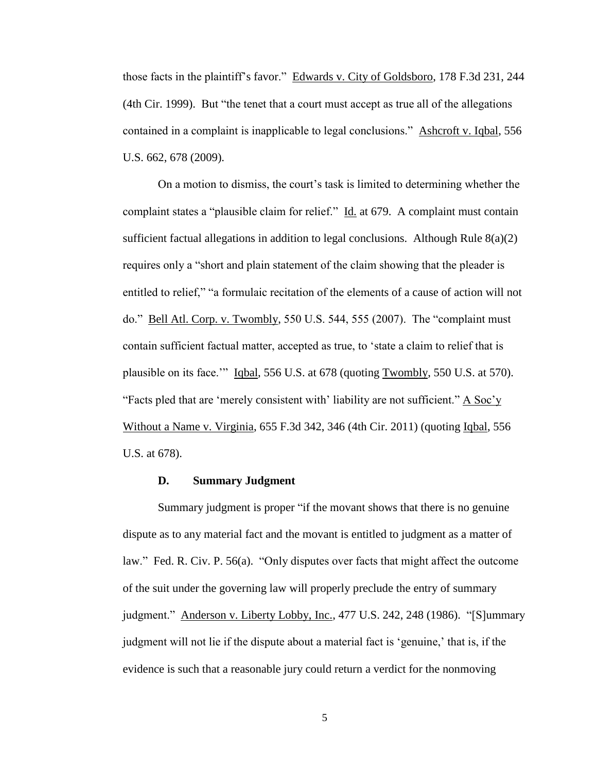those facts in the plaintiff's favor." Edwards v. City of Goldsboro, 178 F.3d 231, 244 (4th Cir. 1999). But "the tenet that a court must accept as true all of the allegations contained in a complaint is inapplicable to legal conclusions." Ashcroft v. Iqbal, 556 U.S. 662, 678 (2009).

On a motion to dismiss, the court's task is limited to determining whether the complaint states a "plausible claim for relief." Id. at 679. A complaint must contain sufficient factual allegations in addition to legal conclusions. Although Rule  $8(a)(2)$ requires only a "short and plain statement of the claim showing that the pleader is entitled to relief," "a formulaic recitation of the elements of a cause of action will not do." Bell Atl. Corp. v. Twombly, 550 U.S. 544, 555 (2007). The "complaint must contain sufficient factual matter, accepted as true, to 'state a claim to relief that is plausible on its face.'" Iqbal, 556 U.S. at 678 (quoting Twombly, 550 U.S. at 570). "Facts pled that are 'merely consistent with' liability are not sufficient."  $\overline{A \text{ Soc } y}$ Without a Name v. Virginia, 655 F.3d 342, 346 (4th Cir. 2011) (quoting Iqbal, 556 U.S. at 678).

### **D. Summary Judgment**

Summary judgment is proper "if the movant shows that there is no genuine dispute as to any material fact and the movant is entitled to judgment as a matter of law." Fed. R. Civ. P. 56(a). "Only disputes over facts that might affect the outcome of the suit under the governing law will properly preclude the entry of summary judgment." Anderson v. Liberty Lobby, Inc., 477 U.S. 242, 248 (1986). "[S]ummary judgment will not lie if the dispute about a material fact is 'genuine,' that is, if the evidence is such that a reasonable jury could return a verdict for the nonmoving

5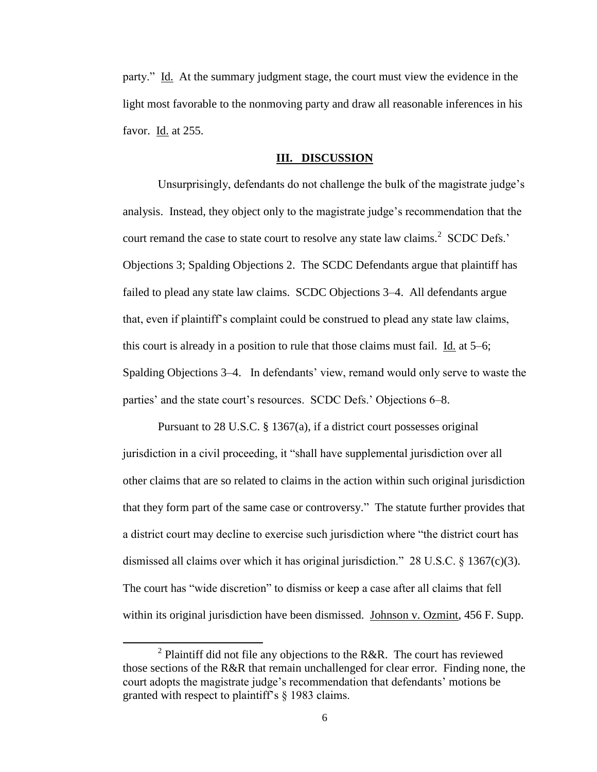party." Id. At the summary judgment stage, the court must view the evidence in the light most favorable to the nonmoving party and draw all reasonable inferences in his favor. Id. at 255.

#### **III. DISCUSSION**

Unsurprisingly, defendants do not challenge the bulk of the magistrate judge's analysis. Instead, they object only to the magistrate judge's recommendation that the court remand the case to state court to resolve any state law claims.<sup>2</sup> SCDC Defs.' Objections 3; Spalding Objections 2. The SCDC Defendants argue that plaintiff has failed to plead any state law claims. SCDC Objections 3–4. All defendants argue that, even if plaintiff's complaint could be construed to plead any state law claims, this court is already in a position to rule that those claims must fail. Id. at 5–6; Spalding Objections 3–4. In defendants' view, remand would only serve to waste the parties' and the state court's resources. SCDC Defs.' Objections 6–8.

Pursuant to 28 U.S.C. § 1367(a), if a district court possesses original jurisdiction in a civil proceeding, it "shall have supplemental jurisdiction over all other claims that are so related to claims in the action within such original jurisdiction that they form part of the same case or controversy." The statute further provides that a district court may decline to exercise such jurisdiction where "the district court has dismissed all claims over which it has original jurisdiction."  $28 \text{ U.S.C.} \$   $367 \text{(c)} \text{(3)}$ . The court has "wide discretion" to dismiss or keep a case after all claims that fell within its original jurisdiction have been dismissed. Johnson v. Ozmint, 456 F. Supp.

 $\overline{a}$ 

<sup>&</sup>lt;sup>2</sup> Plaintiff did not file any objections to the R&R. The court has reviewed those sections of the R&R that remain unchallenged for clear error. Finding none, the court adopts the magistrate judge's recommendation that defendants' motions be granted with respect to plaintiff's § 1983 claims.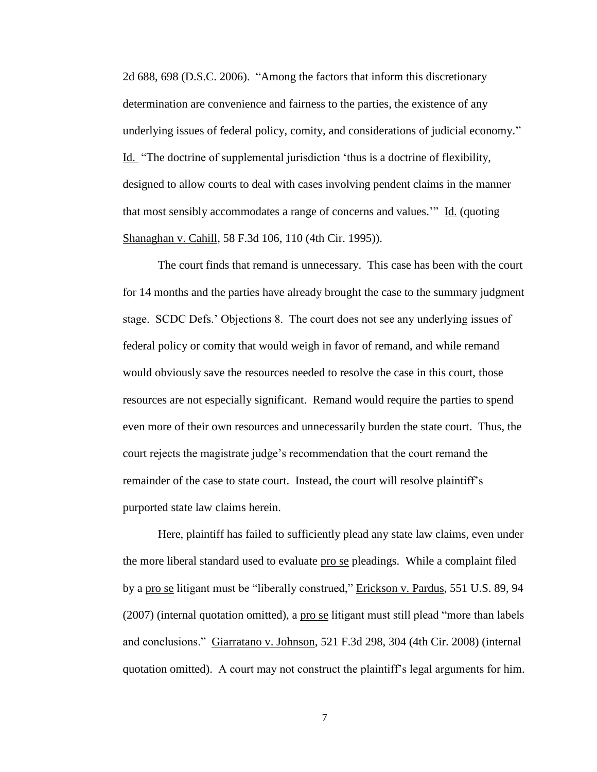2d 688, 698 (D.S.C. 2006). "Among the factors that inform this discretionary determination are convenience and fairness to the parties, the existence of any underlying issues of federal policy, comity, and considerations of judicial economy." Id. "The doctrine of supplemental jurisdiction 'thus is a doctrine of flexibility, designed to allow courts to deal with cases involving pendent claims in the manner that most sensibly accommodates a range of concerns and values.'" Id. (quoting Shanaghan v. Cahill, 58 F.3d 106, 110 (4th Cir. 1995)).

The court finds that remand is unnecessary. This case has been with the court for 14 months and the parties have already brought the case to the summary judgment stage. SCDC Defs.' Objections 8. The court does not see any underlying issues of federal policy or comity that would weigh in favor of remand, and while remand would obviously save the resources needed to resolve the case in this court, those resources are not especially significant. Remand would require the parties to spend even more of their own resources and unnecessarily burden the state court. Thus, the court rejects the magistrate judge's recommendation that the court remand the remainder of the case to state court. Instead, the court will resolve plaintiff's purported state law claims herein.

Here, plaintiff has failed to sufficiently plead any state law claims, even under the more liberal standard used to evaluate pro se pleadings. While a complaint filed by a pro se litigant must be "liberally construed," Erickson v. Pardus, 551 U.S. 89, 94 (2007) (internal quotation omitted), a <u>pro se</u> litigant must still plead "more than labels and conclusions." Giarratano v. Johnson, 521 F.3d 298, 304 (4th Cir. 2008) (internal quotation omitted). A court may not construct the plaintiff's legal arguments for him.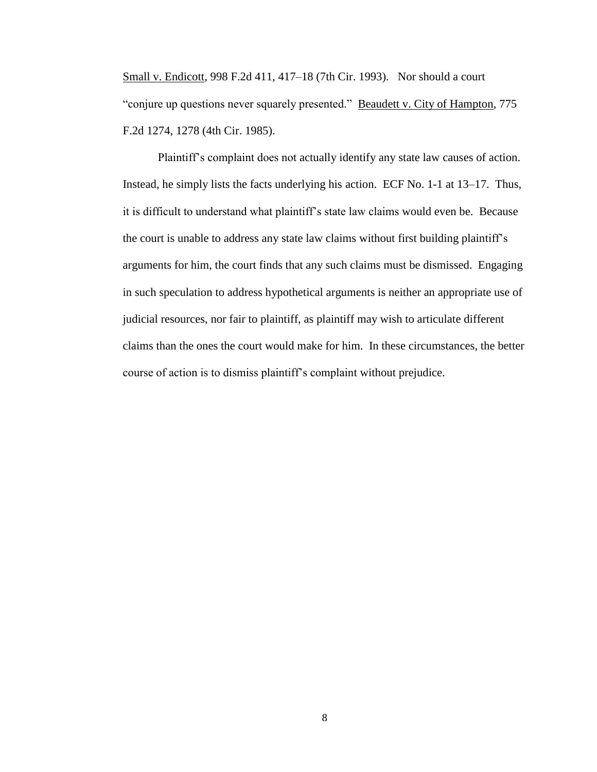Small v. Endicott, 998 F.2d 411, 417–18 (7th Cir. 1993). Nor should a court "conjure up questions never squarely presented." Beaudett v. City of Hampton, 775 F.2d 1274, 1278 (4th Cir. 1985).

Plaintiff's complaint does not actually identify any state law causes of action. Instead, he simply lists the facts underlying his action. ECF No. 1-1 at 13–17. Thus, it is difficult to understand what plaintiff's state law claims would even be. Because the court is unable to address any state law claims without first building plaintiff's arguments for him, the court finds that any such claims must be dismissed. Engaging in such speculation to address hypothetical arguments is neither an appropriate use of judicial resources, nor fair to plaintiff, as plaintiff may wish to articulate different claims than the ones the court would make for him. In these circumstances, the better course of action is to dismiss plaintiff's complaint without prejudice.